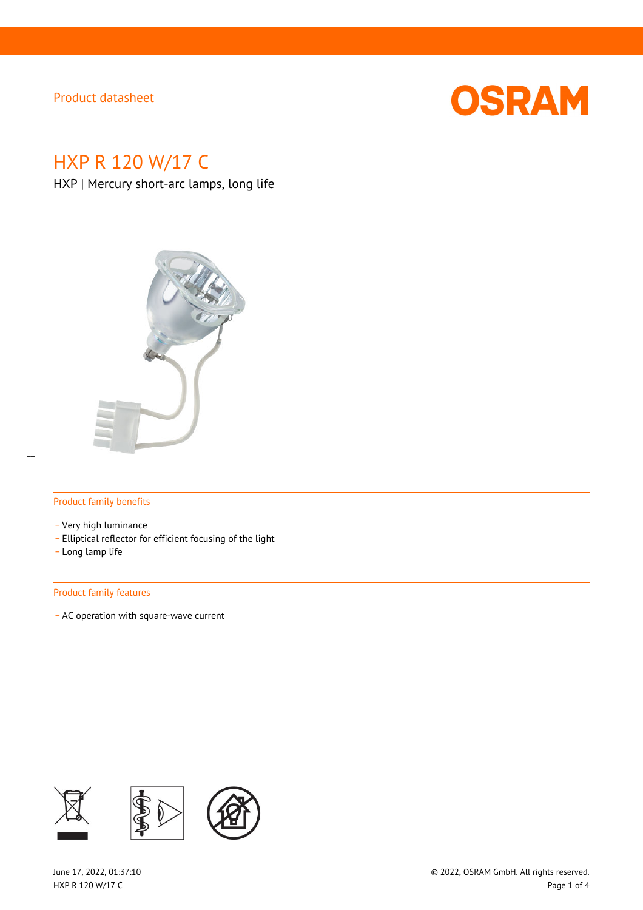

# HXP R 120 W/17 C

HXP | Mercury short-arc lamps, long life



#### Product family benefits

- \_ Very high luminance
- \_ Elliptical reflector for efficient focusing of the light
- \_ Long lamp life

#### Product family features

\_ AC operation with square-wave current

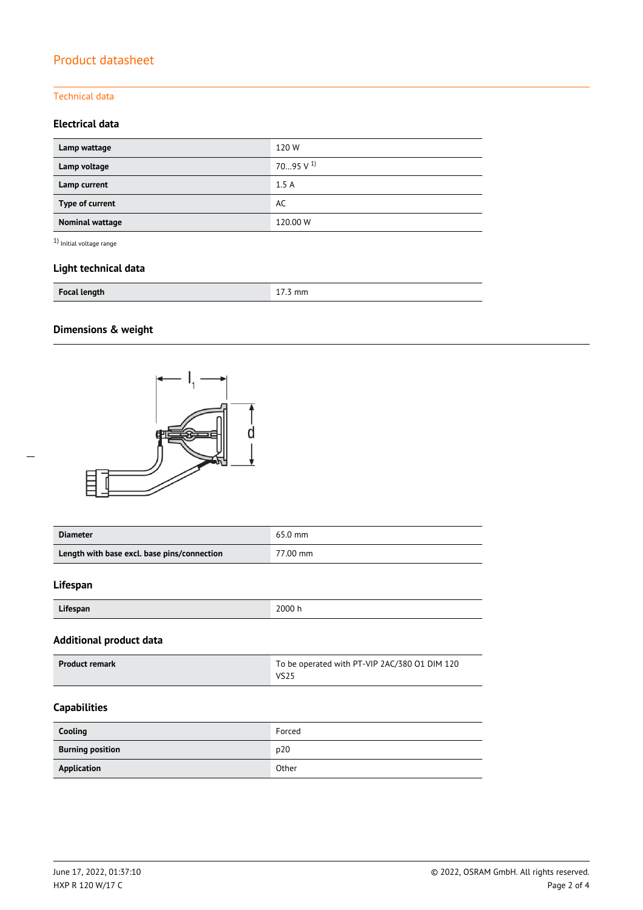### Technical data

### **Electrical data**

| Lamp wattage           | 120W                 |
|------------------------|----------------------|
| Lamp voltage           | $7095 \text{ V}^{1}$ |
| Lamp current           | 1.5A                 |
| Type of current        | AC                   |
| <b>Nominal wattage</b> | 120.00 W             |

 $^{\rm 1)}$  Initial voltage range

### **Light technical data**

| <b>Focal length</b> | . |
|---------------------|---|
|                     |   |

# **Dimensions & weight**



| <b>Diameter</b>                             | $65.0$ mm |
|---------------------------------------------|-----------|
| Length with base excl. base pins/connection | 77.00 mm  |

#### **Lifespan**

| Lifespan | 2000 h |
|----------|--------|
|          |        |

# **Additional product data**

| <b>Product remark</b> | To be operated with PT-VIP 2AC/380 01 DIM 120 |
|-----------------------|-----------------------------------------------|
|                       | <b>VS25</b>                                   |

### **Capabilities**

| Cooling                 | Forced |
|-------------------------|--------|
| <b>Burning position</b> | p20    |
| Application             | Other  |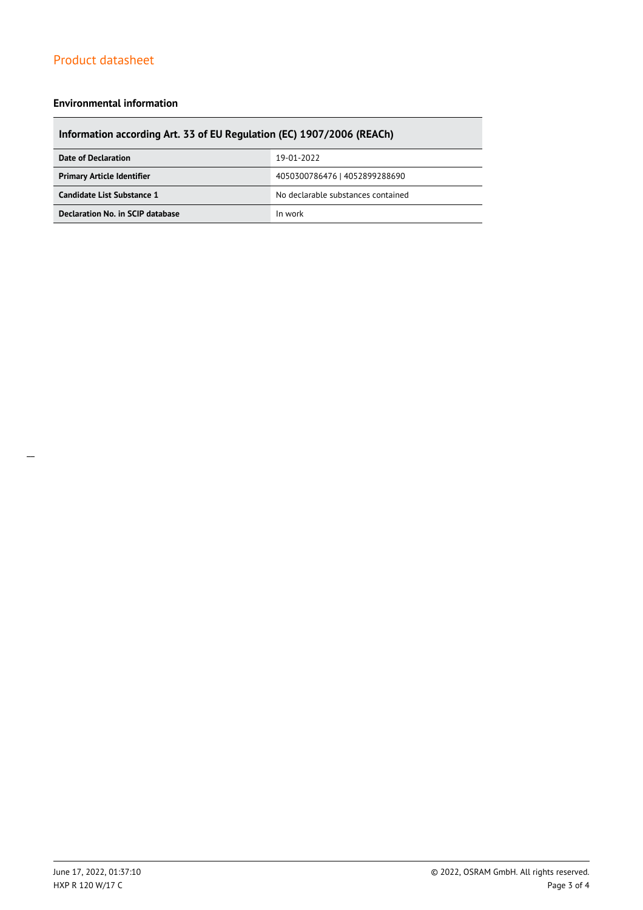#### **Environmental information**

# **Information according Art. 33 of EU Regulation (EC) 1907/2006 (REACh)**

| Date of Declaration               | 19-01-2022                         |  |
|-----------------------------------|------------------------------------|--|
| <b>Primary Article Identifier</b> | 4050300786476   4052899288690      |  |
| Candidate List Substance 1        | No declarable substances contained |  |
| Declaration No. in SCIP database  | In work                            |  |